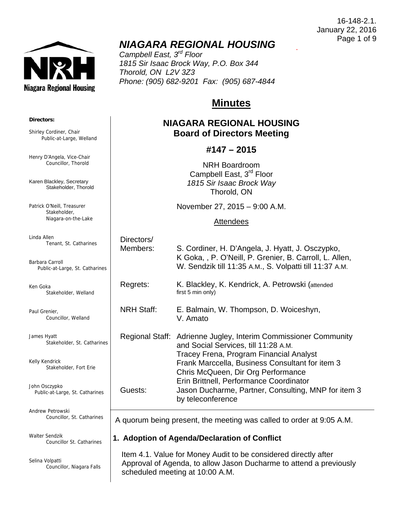**Niagara Regional Housing** 

.

# *NIAGARA REGIONAL HOUSING*

*Campbell East, 3rd Floor 1815 Sir Isaac Brock Way, P.O. Box 344 Thorold, ON L2V 3Z3 Phone: (905) 682-9201 Fax: (905) 687-4844* 

# **Minutes**

# **NIAGARA REGIONAL HOUSING Board of Directors Meeting**

## **#147 – 2015**

NRH Boardroom Campbell East, 3<sup>rd</sup> Floor *1815 Sir Isaac Brock Way* Thorold, ON

November 27, 2015 – 9:00 A.M.

#### **Attendees**

| ines  | Directors/<br>Members: | S. Cordiner, H. D'Angela, J. Hyatt, J. Osczypko,<br>K Goka, , P. O'Neill, P. Grenier, B. Carroll, L. Allen,<br>W. Sendzik till 11:35 A.M., S. Volpatti till 11:37 A.M.                                                                      |
|-------|------------------------|---------------------------------------------------------------------------------------------------------------------------------------------------------------------------------------------------------------------------------------------|
|       | Regrets:               | K. Blackley, K. Kendrick, A. Petrowski (attended<br>first 5 min only)                                                                                                                                                                       |
|       | <b>NRH Staff:</b>      | E. Balmain, W. Thompson, D. Woiceshyn,<br>V. Amato                                                                                                                                                                                          |
| rines |                        | Regional Staff: Adrienne Jugley, Interim Commissioner Community<br>and Social Services, till 11:28 A.M.<br>Tracey Frena, Program Financial Analyst<br>Frank Marccella, Business Consultant for item 3<br>Chris McQueen, Dir Org Performance |
| es    | Guests:                | Erin Brittnell, Performance Coordinator<br>Jason Ducharme, Partner, Consulting, MNP for item 3<br>by teleconference                                                                                                                         |

A quorum being present, the meeting was called to order at 9:05 A.M.

### **1. Adoption of Agenda/Declaration of Conflict**

 Item 4.1. Value for Money Audit to be considered directly after Approval of Agenda, to allow Jason Ducharme to attend a previously scheduled meeting at 10:00 A.M.

#### **Directors:**

Shirley Cordiner, Chair Public-at-Large, Welland

Henry D'Angela, Vice-Chair Councillor, Thorold

Karen Blackley, Secretary Stakeholder, Thorold

Patrick O'Neill, Treasurer Stakeholder, Niagara-on-the-Lake

Linda Allen Tenant, St. Catharines

Barbara Carroll Public-at-Large, St. Cathar

Ken Goka Stakeholder, Welland

Paul Grenier, Councillor, Welland

James Hyatt Stakeholder, St. Catha

Kelly Kendrick Stakeholder, Fort Erie

John Osczypko Public-at-Large, St. Catharir

Andrew Petrowski Councillor, St. Catharines

Walter Sendzik Councillor St. Catharines

Selina Volpatti Councillor, Niagara Falls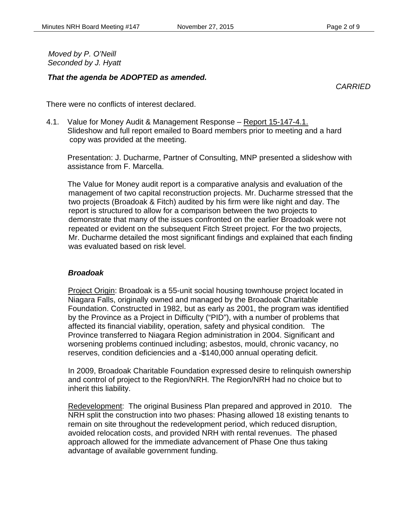*Moved by P. O'Neill Seconded by J. Hyatt* 

#### *That the agenda be ADOPTED as amended.*

*CARRIED* 

There were no conflicts of interest declared.

4.1. Value for Money Audit & Management Response – Report 15-147-4.1. Slideshow and full report emailed to Board members prior to meeting and a hard copy was provided at the meeting.

 Presentation: J. Ducharme, Partner of Consulting, MNP presented a slideshow with assistance from F. Marcella.

The Value for Money audit report is a comparative analysis and evaluation of the management of two capital reconstruction projects. Mr. Ducharme stressed that the two projects (Broadoak & Fitch) audited by his firm were like night and day. The report is structured to allow for a comparison between the two projects to demonstrate that many of the issues confronted on the earlier Broadoak were not repeated or evident on the subsequent Fitch Street project. For the two projects, Mr. Ducharme detailed the most significant findings and explained that each finding was evaluated based on risk level.

### *Broadoak*

Project Origin: Broadoak is a 55-unit social housing townhouse project located in Niagara Falls, originally owned and managed by the Broadoak Charitable Foundation. Constructed in 1982, but as early as 2001, the program was identified by the Province as a Project in Difficulty ("PID"), with a number of problems that affected its financial viability, operation, safety and physical condition. The Province transferred to Niagara Region administration in 2004. Significant and worsening problems continued including; asbestos, mould, chronic vacancy, no reserves, condition deficiencies and a -\$140,000 annual operating deficit.

In 2009, Broadoak Charitable Foundation expressed desire to relinquish ownership and control of project to the Region/NRH. The Region/NRH had no choice but to inherit this liability.

Redevelopment: The original Business Plan prepared and approved in 2010. The NRH split the construction into two phases: Phasing allowed 18 existing tenants to remain on site throughout the redevelopment period, which reduced disruption, avoided relocation costs, and provided NRH with rental revenues. The phased approach allowed for the immediate advancement of Phase One thus taking advantage of available government funding.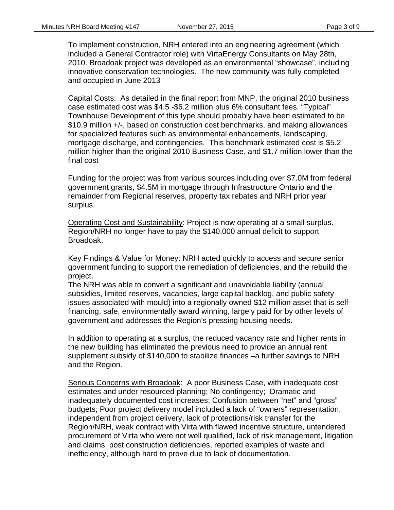To implement construction, NRH entered into an engineering agreement (which included a General Contractor role) with VirtaEnergy Consultants on May 28th, 2010. Broadoak project was developed as an environmental "showcase", including innovative conservation technologies. The new community was fully completed and occupied in June 2013

Capital Costs: As detailed in the final report from MNP, the original 2010 business case estimated cost was \$4.5 -\$6.2 million plus 6% consultant fees. "Typical" Townhouse Development of this type should probably have been estimated to be \$10.9 million +/-, based on construction cost benchmarks, and making allowances for specialized features such as environmental enhancements, landscaping, mortgage discharge, and contingencies. This benchmark estimated cost is \$5.2 million higher than the original 2010 Business Case, and \$1.7 million lower than the final cost

Funding for the project was from various sources including over \$7.0M from federal government grants, \$4.5M in mortgage through Infrastructure Ontario and the remainder from Regional reserves, property tax rebates and NRH prior year surplus.

Operating Cost and Sustainability: Project is now operating at a small surplus. Region/NRH no longer have to pay the \$140,000 annual deficit to support Broadoak.

Key Findings & Value for Money: NRH acted quickly to access and secure senior government funding to support the remediation of deficiencies, and the rebuild the project.

The NRH was able to convert a significant and unavoidable liability (annual subsidies, limited reserves, vacancies, large capital backlog, and public safety issues associated with mould) into a regionally owned \$12 million asset that is selffinancing, safe, environmentally award winning, largely paid for by other levels of government and addresses the Region's pressing housing needs.

In addition to operating at a surplus, the reduced vacancy rate and higher rents in the new building has eliminated the previous need to provide an annual rent supplement subsidy of \$140,000 to stabilize finances –a further savings to NRH and the Region.

Serious Concerns with Broadoak: A poor Business Case, with inadequate cost estimates and under resourced planning; No contingency; Dramatic and inadequately documented cost increases; Confusion between "net" and "gross" budgets; Poor project delivery model included a lack of "owners" representation, independent from project delivery, lack of protections/risk transfer for the Region/NRH, weak contract with Virta with flawed incentive structure, untendered procurement of Virta who were not well qualified, lack of risk management, litigation and claims, post construction deficiencies, reported examples of waste and inefficiency, although hard to prove due to lack of documentation.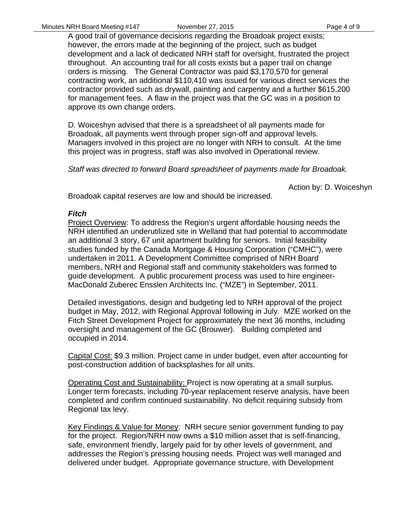A good trail of governance decisions regarding the Broadoak project exists; however, the errors made at the beginning of the project, such as budget development and a lack of dedicated NRH staff for oversight, frustrated the project throughout. An accounting trail for all costs exists but a paper trail on change orders is missing. The General Contractor was paid \$3,170,570 for general contracting work, an additional \$110,410 was issued for various direct services the contractor provided such as drywall, painting and carpentry and a further \$615,200 for management fees. A flaw in the project was that the GC was in a position to approve its own change orders.

D. Woiceshyn advised that there is a spreadsheet of all payments made for Broadoak, all payments went through proper sign-off and approval levels. Managers involved in this project are no longer with NRH to consult. At the time this project was in progress, staff was also involved in Operational review.

*Staff was directed to forward Board spreadsheet of payments made for Broadoak.* 

Action by: D. Woiceshyn

Broadoak capital reserves are low and should be increased.

#### *Fitch*

Project Overview: To address the Region's urgent affordable housing needs the NRH identified an underutilized site in Welland that had potential to accommodate an additional 3 story, 67 unit apartment building for seniors. Initial feasibility studies funded by the Canada Mortgage & Housing Corporation ("CMHC"), were undertaken in 2011. A Development Committee comprised of NRH Board members, NRH and Regional staff and community stakeholders was formed to guide development. A public procurement process was used to hire engineer-MacDonald Zuberec Ensslen Architects Inc. ("MZE") in September, 2011.

Detailed investigations, design and budgeting led to NRH approval of the project budget in May, 2012, with Regional Approval following in July. MZE worked on the Fitch Street Development Project for approximately the next 36 months, including oversight and management of the GC (Brouwer). Building completed and occupied in 2014.

Capital Cost: \$9.3 million. Project came in under budget, even after accounting for post-construction addition of backsplashes for all units.

Operating Cost and Sustainability: Project is now operating at a small surplus. Longer term forecasts, including 70-year replacement reserve analysis, have been completed and confirm continued sustainability. No deficit requiring subsidy from Regional tax levy.

Key Findings & Value for Money: NRH secure senior government funding to pay for the project. Region/NRH now owns a \$10 million asset that is self-financing, safe, environment friendly, largely paid for by other levels of government, and addresses the Region's pressing housing needs. Project was well managed and delivered under budget. Appropriate governance structure, with Development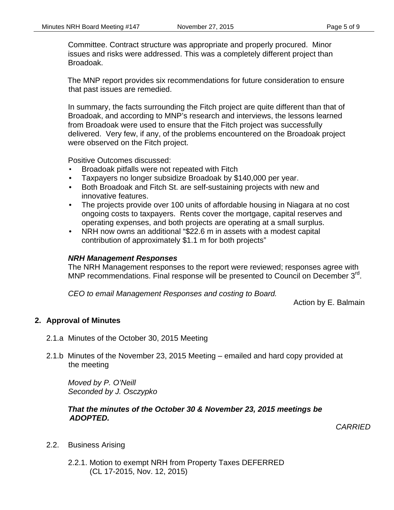Committee. Contract structure was appropriate and properly procured. Minor issues and risks were addressed. This was a completely different project than Broadoak.

The MNP report provides six recommendations for future consideration to ensure that past issues are remedied.

In summary, the facts surrounding the Fitch project are quite different than that of Broadoak, and according to MNP's research and interviews, the lessons learned from Broadoak were used to ensure that the Fitch project was successfully delivered. Very few, if any, of the problems encountered on the Broadoak project were observed on the Fitch project.

Positive Outcomes discussed:

- Broadoak pitfalls were not repeated with Fitch
- Taxpayers no longer subsidize Broadoak by \$140,000 per year.
- Both Broadoak and Fitch St. are self-sustaining projects with new and innovative features.
- The projects provide over 100 units of affordable housing in Niagara at no cost ongoing costs to taxpayers. Rents cover the mortgage, capital reserves and operating expenses, and both projects are operating at a small surplus.
- NRH now owns an additional "\$22.6 m in assets with a modest capital contribution of approximately \$1.1 m for both projects"

#### *NRH Management Responses*

The NRH Management responses to the report were reviewed; responses agree with MNP recommendations. Final response will be presented to Council on December  $3^{rd}$ .

*CEO to email Management Responses and costing to Board.* 

Action by E. Balmain

### **2. Approval of Minutes**

- 2.1.a Minutes of the October 30, 2015 Meeting
- 2.1.b Minutes of the November 23, 2015 Meeting emailed and hard copy provided at the meeting

 *Moved by P. O'Neill Seconded by J. Osczypko* 

#### *That the minutes of the October 30 & November 23, 2015 meetings be ADOPTED.*

*CARRIED* 

- 2.2. Business Arising
	- 2.2.1. Motion to exempt NRH from Property Taxes DEFERRED (CL 17-2015, Nov. 12, 2015)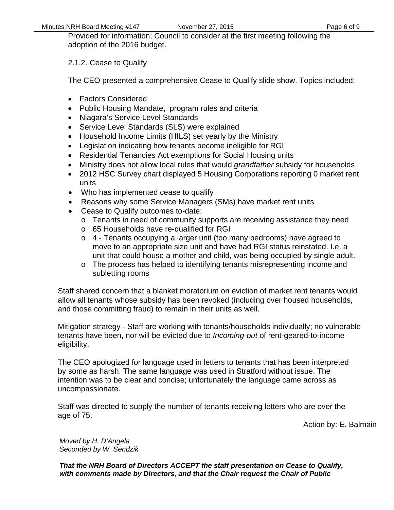Provided for information; Council to consider at the first meeting following the adoption of the 2016 budget.

2.1.2. Cease to Qualify

The CEO presented a comprehensive Cease to Qualify slide show. Topics included:

- Factors Considered
- Public Housing Mandate, program rules and criteria
- Niagara's Service Level Standards
- Service Level Standards (SLS) were explained
- Household Income Limits (HILS) set yearly by the Ministry
- Legislation indicating how tenants become ineligible for RGI
- Residential Tenancies Act exemptions for Social Housing units
- Ministry does not allow local rules that would *grandfather* subsidy for households
- 2012 HSC Survey chart displayed 5 Housing Corporations reporting 0 market rent units
- Who has implemented cease to qualify
- Reasons why some Service Managers (SMs) have market rent units
- Cease to Qualify outcomes to-date:
	- o Tenants in need of community supports are receiving assistance they need
	- o 65 Households have re-qualified for RGI
	- o 4 Tenants occupying a larger unit (too many bedrooms) have agreed to move to an appropriate size unit and have had RGI status reinstated. I.e. a unit that could house a mother and child, was being occupied by single adult.
	- o The process has helped to identifying tenants misrepresenting income and subletting rooms

Staff shared concern that a blanket moratorium on eviction of market rent tenants would allow all tenants whose subsidy has been revoked (including over housed households, and those committing fraud) to remain in their units as well.

Mitigation strategy - Staff are working with tenants/households individually; no vulnerable tenants have been, nor will be evicted due to *Incoming-out* of rent-geared-to-income eligibility.

The CEO apologized for language used in letters to tenants that has been interpreted by some as harsh. The same language was used in Stratford without issue. The intention was to be clear and concise; unfortunately the language came across as uncompassionate.

Staff was directed to supply the number of tenants receiving letters who are over the age of 75.

Action by: E. Balmain

*Moved by H. D'Angela Seconded by W. Sendzik* 

*That the NRH Board of Directors ACCEPT the staff presentation on Cease to Qualify, with comments made by Directors, and that the Chair request the Chair of Public*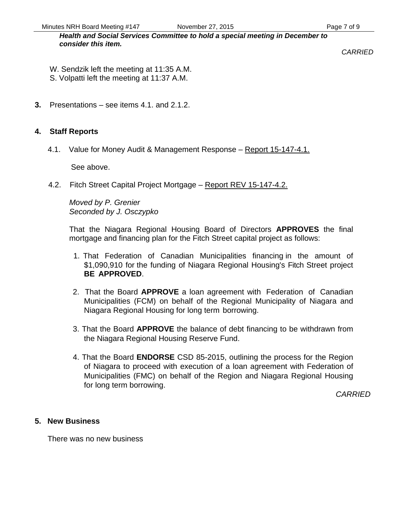Minutes NRH Board Meeting #147 November 27, 2015 November 27, 2016

*Health and Social Services Committee to hold a special meeting in December to consider this item.* 

*CARRIED* 

- W. Sendzik left the meeting at 11:35 A.M.
- S. Volpatti left the meeting at 11:37 A.M.
- **3.** Presentations see items 4.1. and 2.1.2.

# **4. Staff Reports**

4.1. Value for Money Audit & Management Response – Report 15-147-4.1.

See above.

4.2. Fitch Street Capital Project Mortgage – Report REV 15-147-4.2.

*Moved by P. Grenier Seconded by J. Osczypko* 

That the Niagara Regional Housing Board of Directors **APPROVES** the final mortgage and financing plan for the Fitch Street capital project as follows:

- 1. That Federation of Canadian Municipalities financing in the amount of \$1,090,910 for the funding of Niagara Regional Housing's Fitch Street project **BE APPROVED**.
- 2. That the Board **APPROVE** a loan agreement with Federation of Canadian Municipalities (FCM) on behalf of the Regional Municipality of Niagara and Niagara Regional Housing for long term borrowing.
- 3. That the Board **APPROVE** the balance of debt financing to be withdrawn from the Niagara Regional Housing Reserve Fund.
- 4. That the Board **ENDORSE** CSD 85-2015, outlining the process for the Region of Niagara to proceed with execution of a loan agreement with Federation of Municipalities (FMC) on behalf of the Region and Niagara Regional Housing for long term borrowing.

*CARRIED* 

### **5. New Business**

There was no new business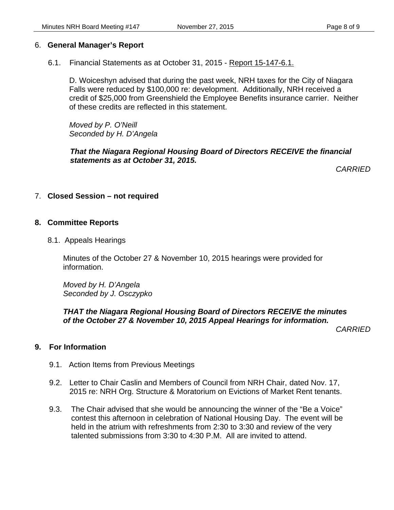### 6. **General Manager's Report**

6.1. Financial Statements as at October 31, 2015 - Report 15-147-6.1.

D. Woiceshyn advised that during the past week, NRH taxes for the City of Niagara Falls were reduced by \$100,000 re: development. Additionally, NRH received a credit of \$25,000 from Greenshield the Employee Benefits insurance carrier. Neither of these credits are reflected in this statement.

*Moved by P. O'Neill Seconded by H. D'Angela* 

*That the Niagara Regional Housing Board of Directors RECEIVE the financial statements as at October 31, 2015.* 

*CARRIED* 

### 7. **Closed Session – not required**

### **8. Committee Reports**

8.1. Appeals Hearings

Minutes of the October 27 & November 10, 2015 hearings were provided for information.

*Moved by H. D'Angela Seconded by J. Osczypko*

### *THAT the Niagara Regional Housing Board of Directors RECEIVE the minutes of the October 27 & November 10, 2015 Appeal Hearings for information.*

*CARRIED* 

# **9. For Information**

- 9.1. Action Items from Previous Meetings
- 9.2. Letter to Chair Caslin and Members of Council from NRH Chair, dated Nov. 17, 2015 re: NRH Org. Structure & Moratorium on Evictions of Market Rent tenants.
- 9.3. The Chair advised that she would be announcing the winner of the "Be a Voice" contest this afternoon in celebration of National Housing Day. The event will be held in the atrium with refreshments from 2:30 to 3:30 and review of the very talented submissions from 3:30 to 4:30 P.M. All are invited to attend.